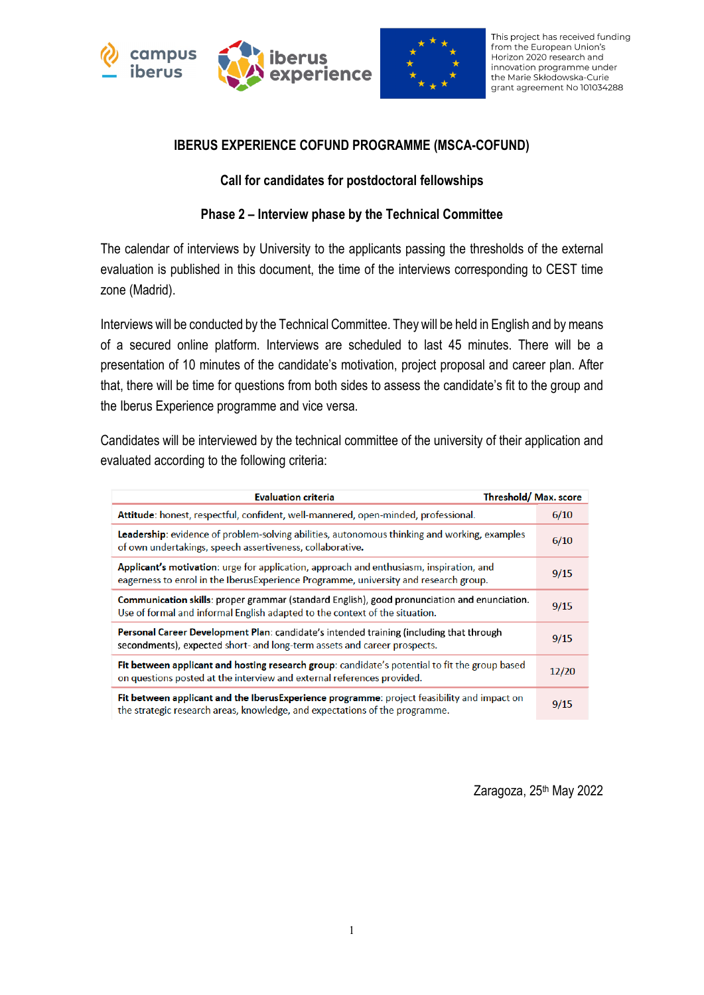



This project has received funding from the European Union's Horizon 2020 research and innovation programme under the Marie Skłodowska-Curie grant agreement No 101034288

#### **IBERUS EXPERIENCE COFUND PROGRAMME (MSCA-COFUND)**

### **Call for candidates for postdoctoral fellowships**

## **Phase 2 – Interview phase by the Technical Committee**

The calendar of interviews by University to the applicants passing the thresholds of the external evaluation is published in this document, the time of the interviews corresponding to CEST time zone (Madrid).

Interviews will be conducted by the Technical Committee. They will be held in English and by means of a secured online platform. Interviews are scheduled to last 45 minutes. There will be a presentation of 10 minutes of the candidate's motivation, project proposal and career plan. After that, there will be time for questions from both sides to assess the candidate's fit to the group and the Iberus Experience programme and vice versa.

Candidates will be interviewed by the technical committee of the university of their application and evaluated according to the following criteria:

| Threshold/Max.score<br><b>Evaluation criteria</b>                                                                                                                                |       |
|----------------------------------------------------------------------------------------------------------------------------------------------------------------------------------|-------|
| Attitude: honest, respectful, confident, well-mannered, open-minded, professional.                                                                                               | 6/10  |
| <b>Leadership:</b> evidence of problem-solving abilities, autonomous thinking and working, examples<br>of own undertakings, speech assertiveness, collaborative.                 | 6/10  |
| Applicant's motivation: urge for application, approach and enthusiasm, inspiration, and<br>eagerness to enrol in the Iberus Experience Programme, university and research group. | 9/15  |
| Communication skills: proper grammar (standard English), good pronunciation and enunciation.<br>Use of formal and informal English adapted to the context of the situation.      | 9/15  |
| Personal Career Development Plan: candidate's intended training (including that through<br>secondments), expected short- and long-term assets and career prospects.              | 9/15  |
| Fit between applicant and hosting research group: candidate's potential to fit the group based<br>on questions posted at the interview and external references provided.         | 12/20 |
| Fit between applicant and the IberusExperience programme: project feasibility and impact on<br>the strategic research areas, knowledge, and expectations of the programme.       | 9/15  |

Zaragoza, 25<sup>th</sup> May 2022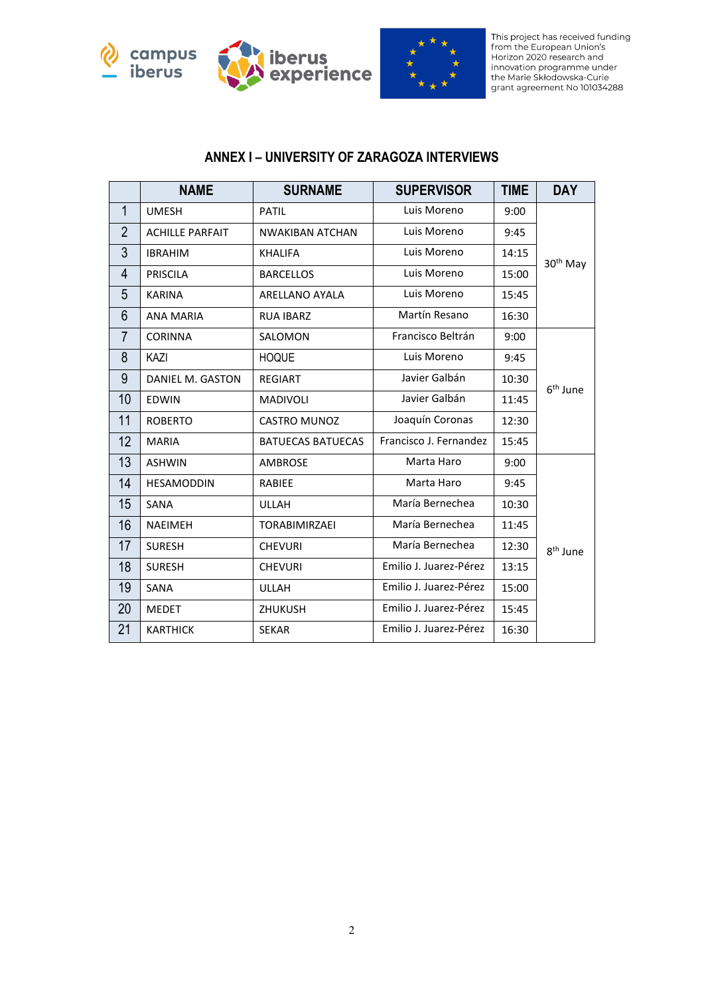





This project has received funding<br>from the European Union's Horizon 2020 research and indizon zozo research and<br>innovation programme under<br>the Marie Skłodowska-Curie<br>grant agreement No 101034288

#### **ANNEX I – UNIVERSITY OF ZARAGOZA INTERVIEWS**

|                | <b>NAME</b>            | <b>SURNAME</b>           | <b>SUPERVISOR</b>      | TIME  | <b>DAY</b>           |
|----------------|------------------------|--------------------------|------------------------|-------|----------------------|
| $\mathbf{1}$   | <b>UMESH</b>           | <b>PATIL</b>             | Luis Moreno            | 9:00  |                      |
| $\overline{2}$ | <b>ACHILLE PARFAIT</b> | <b>NWAKIBAN ATCHAN</b>   | Luis Moreno            | 9:45  |                      |
| 3              | <b>IBRAHIM</b>         | <b>KHALIFA</b>           | Luis Moreno            | 14:15 | 30 <sup>th</sup> May |
| 4              | <b>PRISCILA</b>        | <b>BARCELLOS</b>         | Luis Moreno            | 15:00 |                      |
| 5              | <b>KARINA</b>          | ARELLANO AYALA           | Luis Moreno            | 15:45 |                      |
| 6              | <b>ANA MARIA</b>       | <b>RUA IBARZ</b>         | Martín Resano          | 16:30 |                      |
| $\overline{7}$ | <b>CORINNA</b>         | SALOMON                  | Francisco Beltrán      | 9:00  |                      |
| 8              | KAZI                   | <b>HOQUE</b>             | Luis Moreno            | 9:45  |                      |
| 9              | DANIEL M. GASTON       | <b>REGIART</b>           | Javier Galbán          | 10:30 |                      |
| 10             | <b>EDWIN</b>           | <b>MADIVOLI</b>          | Javier Galbán          | 11:45 | 6 <sup>th</sup> June |
| 11             | <b>ROBERTO</b>         | CASTRO MUNOZ             | Joaquín Coronas        | 12:30 |                      |
| 12             | <b>MARIA</b>           | <b>BATUECAS BATUECAS</b> | Francisco J. Fernandez | 15:45 |                      |
| 13             | <b>ASHWIN</b>          | <b>AMBROSE</b>           | Marta Haro             | 9:00  |                      |
| 14             | <b>HESAMODDIN</b>      | RABIEE                   | Marta Haro             | 9:45  |                      |
| 15             | SANA                   | <b>ULLAH</b>             | María Bernechea        | 10:30 |                      |
| 16             | <b>NAEIMEH</b>         | <b>TORABIMIRZAEI</b>     | María Bernechea        | 11:45 |                      |
| 17             | <b>SURESH</b>          | <b>CHEVURI</b>           | María Bernechea        | 12:30 | 8 <sup>th</sup> June |
| 18             | <b>SURESH</b>          | <b>CHEVURI</b>           | Emilio J. Juarez-Pérez | 13:15 |                      |
| 19             | SANA                   | <b>ULLAH</b>             | Emilio J. Juarez-Pérez | 15:00 |                      |
| 20             | <b>MEDET</b>           | <b>ZHUKUSH</b>           | Emilio J. Juarez-Pérez | 15:45 |                      |
| 21             | <b>KARTHICK</b>        | <b>SEKAR</b>             | Emilio J. Juarez-Pérez | 16:30 |                      |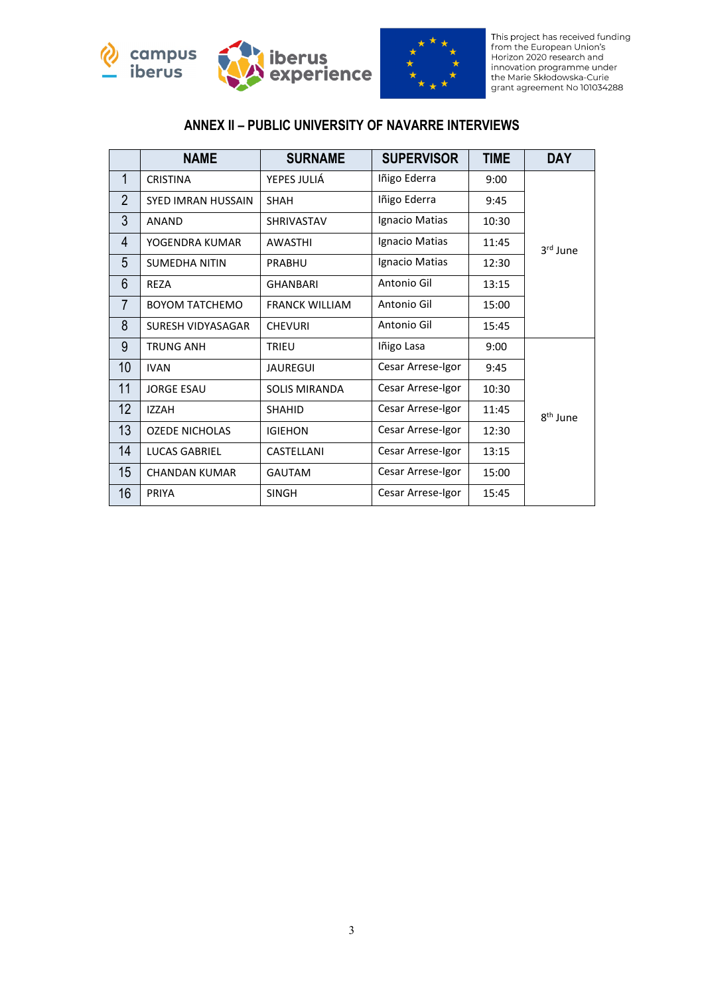



This project has received funding<br>from the European Union's<br>Horizon 2020 research and indizon zozo research and<br>innovation programme under<br>the Marie Skłodowska-Curie<br>grant agreement No 101034288

## **ANNEX II – PUBLIC UNIVERSITY OF NAVARRE INTERVIEWS**

|                | <b>NAME</b>           | <b>SURNAME</b>        | <b>SUPERVISOR</b> | <b>TIME</b> | <b>DAY</b>           |
|----------------|-----------------------|-----------------------|-------------------|-------------|----------------------|
| $\mathbf{1}$   | <b>CRISTINA</b>       | YEPES JULIÁ           | Iñigo Ederra      | 9:00        |                      |
| $\overline{2}$ | SYED IMRAN HUSSAIN    | <b>SHAH</b>           | Iñigo Ederra      | 9:45        |                      |
| 3              | <b>ANAND</b>          | <b>SHRIVASTAV</b>     | Ignacio Matias    | 10:30       |                      |
| 4              | YOGENDRA KUMAR        | <b>AWASTHI</b>        | Ignacio Matias    | 11:45       | 3rd June             |
| 5              | <b>SUMEDHA NITIN</b>  | <b>PRABHU</b>         | Ignacio Matias    | 12:30       |                      |
| 6              | <b>REZA</b>           | <b>GHANBARI</b>       | Antonio Gil       | 13:15       |                      |
| $\overline{7}$ | <b>BOYOM TATCHEMO</b> | <b>FRANCK WILLIAM</b> | Antonio Gil       | 15:00       |                      |
| 8              | SURESH VIDYASAGAR     | <b>CHEVURI</b>        | Antonio Gil       | 15:45       |                      |
| 9              | <b>TRUNG ANH</b>      | TRIEU                 | Iñigo Lasa        | 9:00        |                      |
| 10             | <b>IVAN</b>           | <b>JAUREGUI</b>       | Cesar Arrese-Igor | 9:45        |                      |
| 11             | <b>JORGE ESAU</b>     | <b>SOLIS MIRANDA</b>  | Cesar Arrese-Igor | 10:30       |                      |
| 12             | <b>IZZAH</b>          | <b>SHAHID</b>         | Cesar Arrese-Igor | 11:45       | 8 <sup>th</sup> June |
| 13             | <b>OZEDE NICHOLAS</b> | <b>IGIEHON</b>        | Cesar Arrese-Igor | 12:30       |                      |
| 14             | LUCAS GABRIEL         | CASTELLANI            | Cesar Arrese-Igor | 13:15       |                      |
| 15             | <b>CHANDAN KUMAR</b>  | <b>GAUTAM</b>         | Cesar Arrese-Igor | 15:00       |                      |
| 16             | <b>PRIYA</b>          | <b>SINGH</b>          | Cesar Arrese-Igor | 15:45       |                      |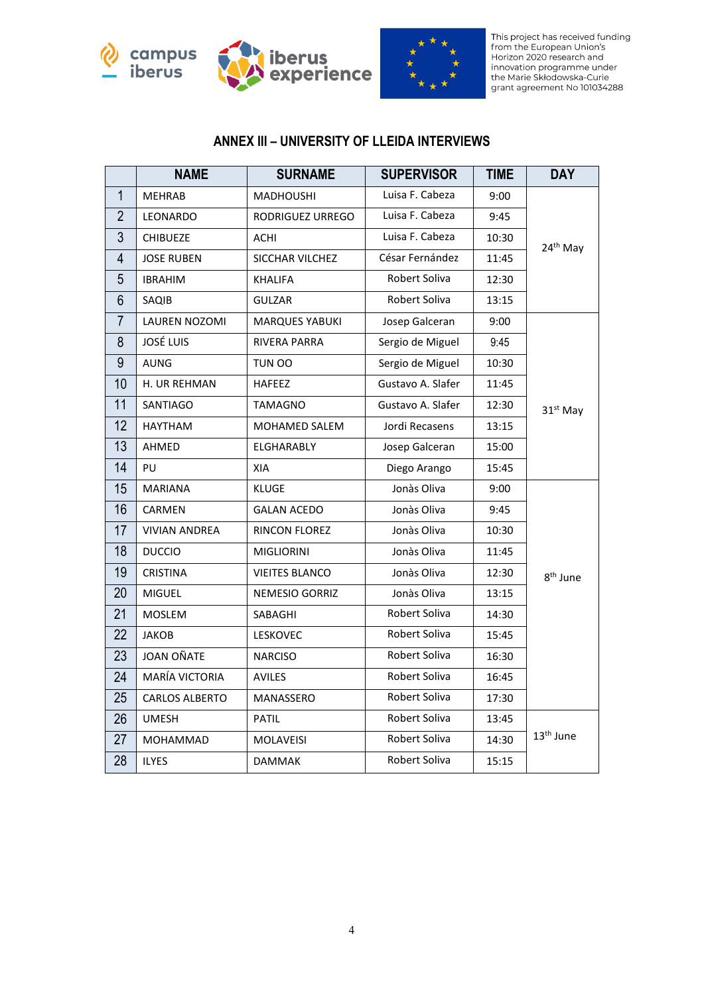





This project has received funding<br>from the European Union's Horizon 2020 research and indizon zozo research and<br>innovation programme under<br>the Marie Skłodowska-Curie<br>grant agreement No 101034288

## **ANNEX III – UNIVERSITY OF LLEIDA INTERVIEWS**

|                | <b>NAME</b>           | <b>SURNAME</b>        | <b>SUPERVISOR</b> | <b>TIME</b> | <b>DAY</b>            |
|----------------|-----------------------|-----------------------|-------------------|-------------|-----------------------|
| $\mathbf{1}$   | <b>MEHRAB</b>         | <b>MADHOUSHI</b>      | Luisa F. Cabeza   | 9:00        |                       |
| $\overline{2}$ | LEONARDO              | RODRIGUEZ URREGO      | Luisa F. Cabeza   | 9:45        |                       |
| $\overline{3}$ | <b>CHIBUEZE</b>       | ACHI                  | Luisa F. Cabeza   | 10:30       | 24 <sup>th</sup> May  |
| $\overline{4}$ | <b>JOSE RUBEN</b>     | SICCHAR VILCHEZ       | César Fernández   | 11:45       |                       |
| 5              | <b>IBRAHIM</b>        | <b>KHALIFA</b>        | Robert Soliva     | 12:30       |                       |
| $6\phantom{1}$ | SAQIB                 | <b>GULZAR</b>         | Robert Soliva     | 13:15       |                       |
| $\overline{7}$ | <b>LAUREN NOZOMI</b>  | <b>MARQUES YABUKI</b> | Josep Galceran    | 9:00        |                       |
| 8              | <b>JOSÉ LUIS</b>      | <b>RIVERA PARRA</b>   | Sergio de Miguel  | 9:45        |                       |
| 9              | <b>AUNG</b>           | TUN OO                | Sergio de Miguel  | 10:30       |                       |
| 10             | H. UR REHMAN          | <b>HAFEEZ</b>         | Gustavo A. Slafer | 11:45       |                       |
| 11             | <b>SANTIAGO</b>       | TAMAGNO               | Gustavo A. Slafer | 12:30       | 31 <sup>st</sup> May  |
| 12             | <b>HAYTHAM</b>        | <b>MOHAMED SALEM</b>  | Jordi Recasens    | 13:15       |                       |
| 13             | AHMED                 | ELGHARABLY            | Josep Galceran    | 15:00       |                       |
| 14             | PU                    | XIA                   | Diego Arango      | 15:45       |                       |
| 15             | <b>MARIANA</b>        | <b>KLUGE</b>          | Jonàs Oliva       | 9:00        |                       |
| 16             | CARMEN                | <b>GALAN ACEDO</b>    | Jonàs Oliva       | 9:45        |                       |
| 17             | <b>VIVIAN ANDREA</b>  | RINCON FLOREZ         | Jonàs Oliva       | 10:30       |                       |
| 18             | <b>DUCCIO</b>         | <b>MIGLIORINI</b>     | Jonàs Oliva       | 11:45       |                       |
| 19             | <b>CRISTINA</b>       | <b>VIEITES BLANCO</b> | Jonàs Oliva       | 12:30       | $8^{\text{th}}$ June  |
| 20             | <b>MIGUEL</b>         | NEMESIO GORRIZ        | Jonàs Oliva       | 13:15       |                       |
| 21             | <b>MOSLEM</b>         | SABAGHI               | Robert Soliva     | 14:30       |                       |
| 22             | <b>JAKOB</b>          | LESKOVEC              | Robert Soliva     | 15:45       |                       |
| 23             | JOAN OÑATE            | <b>NARCISO</b>        | Robert Soliva     | 16:30       |                       |
| 24             | MARÍA VICTORIA        | <b>AVILES</b>         | Robert Soliva     | 16:45       |                       |
| 25             | <b>CARLOS ALBERTO</b> | MANASSERO             | Robert Soliva     | 17:30       |                       |
| 26             | <b>UMESH</b>          | <b>PATIL</b>          | Robert Soliva     | 13:45       |                       |
| 27             | MOHAMMAD              | <b>MOLAVEISI</b>      | Robert Soliva     | 14:30       | 13 <sup>th</sup> June |
| 28             | <b>ILYES</b>          | <b>DAMMAK</b>         | Robert Soliva     | 15:15       |                       |